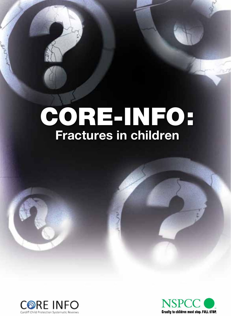# CORE-INFO: **Fractures in children**



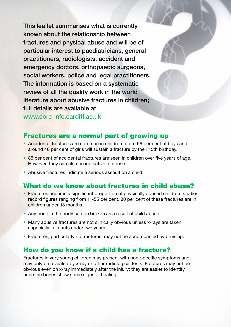This leaflet summarises what is currently known about the relationship between fractures and physical abuse and will be of particular interest to paediatricians, general practitioners, radiologists, accident and emergency doctors, orthopaedic surgeons, social workers, police and legal practitioners. The information is based on a systematic review of all the quality work in the world literature about abusive fractures in children; full details are available at

www.core-info.cardiff.ac.uk

## Fractures are a normal part of growing up

- Accidental fractures are common in children: up to 66 per cent of boys and around 40 per cent of girls will sustain a fracture by their 15th birthday.
- 85 per cent of accidental fractures are seen in children over five years of age. However, they can also be indicative of abuse.
- Abusive fractures indicate a serious assault on a child.

# What do we know about fractures in child abuse?

- Fractures occur in a significant proportion of physically abused children; studies record figures ranging from 11-55 per cent. 80 per cent of these fractures are in children under 18 months.
- Any bone in the body can be broken as a result of child abuse.
- Many abusive fractures are not clinically obvious unless x-rays are taken, especially in infants under two years.
- Fractures, particularly rib fractures, may not be accompanied by bruising.

# How do you know if a child has a fracture?

Fractures in very young children may present with non-specific symptoms and may only be revealed by x-ray or other radiological tests. Fractures may not be obvious even on x-ray immediately after the injury; they are easier to identify once the bones show some signs of healing.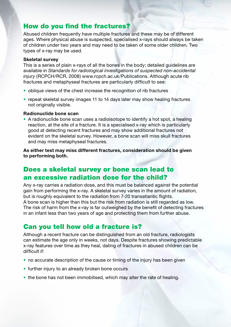# How do you find the fractures?

Abused children frequently have multiple fractures and these may be of different ages. Where physical abuse is suspected, specialised x-rays should always be taken of children under two years and may need to be taken of some older children. Two types of x-ray may be used.

## **Skeletal survey**

This is a series of plain x-rays of all the bones in the body; detailed guidelines are available in *Standards for radiological investigations of suspected non-accidental injury* (RCPCH/RCR, 2008) www.rcpch.ac.uk/Publications. Although acute rib fractures and metaphyseal fractures are particularly difficult to see:

- oblique views of the chest increase the recognition of rib fractures
- repeat skeletal survey images 11 to 14 days later may show healing fractures not originally visible.

## **Radionuclide bone scan**

• A radionuclide bone scan uses a radioisotope to identify a hot spot, a healing reaction, at the site of a fracture. It is a specialised x-ray which is particularly good at detecting recent fractures and may show additional fractures not evident on the skeletal survey. However, a bone scan will miss skull fractures and may miss metaphyseal fractures.

**As either test may miss different fractures, consideration should be given to performing both.**

# Does a skeletal survey or bone scan lead to an excessive radiation dose for the child?

Any x-ray carries a radiation dose, and this must be balanced against the potential gain from performing the x-ray. A skeletal survey varies in the amount of radiation, but is roughly equivalent to the radiation from 7-20 transatlantic flights. A bone scan is higher than this but the risk from radiation is still regarded as low. The risk of harm from the x-ray is far outweighed by the benefit of detecting fractures in an infant less than two years of age and protecting them from further abuse.

# Can you tell how old a fracture is?

Although a recent fracture can be distinguished from an old fracture, radiologists can estimate the age only in weeks, not days. Despite fractures showing predictable x-ray features over time as they heal, dating of fractures in abused children can be difficult if:

- no accurate description of the cause or timing of the injury has been given
- further injury to an already broken bone occurs
- the bone has not been immobilised, which may alter the rate of healing.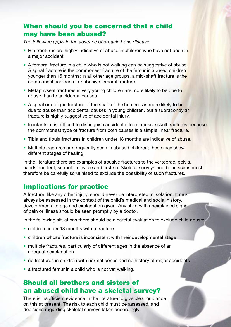## When should you be concerned that a child may have been abused?

*The following apply in the absence of organic bone disease.*

- Rib fractures are highly indicative of abuse in children who have not been in a major accident.
- A femoral fracture in a child who is not walking can be suggestive of abuse. A spiral fracture is the commonest fracture of the femur in abused children younger than 15 months; in all other age groups, a mid-shaft fracture is the commonest accidental or abusive femoral fracture.
- Metaphyseal fractures in very young children are more likely to be due to abuse than to accidental causes.
- A spiral or oblique fracture of the shaft of the humerus is more likely to be due to abuse than accidental causes in young children, but a supracondylar fracture is highly suggestive of accidental injury.
- In infants, it is difficult to distinguish accidental from abusive skull fractures because the commonest type of fracture from both causes is a simple linear fracture.
- Tibia and fibula fractures in children under 18 months are indicative of abuse.
- Multiple fractures are frequently seen in abused children; these may show different stages of healing.

In the literature there are examples of abusive fractures to the vertebrae, pelvis, hands and feet, scapula, clavicle and first rib. Skeletal surveys and bone scans must therefore be carefully scrutinised to exclude the possibility of such fractures.

## Implications for practice

A fracture, like any other injury, should never be interpreted in isolation. It must always be assessed in the context of the child's medical and social history, developmental stage and explanation given. Any child with unexplained signs of pain or illness should be seen promptly by a doctor.

In the following situations there should be a careful evaluation to exclude child abuse:

- children under 18 months with a fracture
- children whose fracture is inconsistent with their developmental stage
- multiple fractures, particularly of different ages,in the absence of an adequate explanation
- rib fractures in children with normal bones and no history of major accidents
- a fractured femur in a child who is not yet walking.

# Should all brothers and sisters of an abused child have a skeletal survey?

There is insufficient evidence in the literature to give clear guidance on this at present. The risk to each child must be assessed, and decisions regarding skeletal surveys taken accordingly.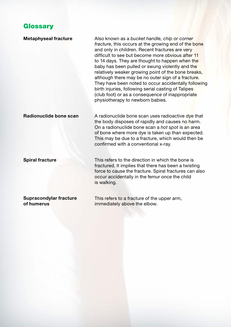## **Glossary**

#### **Metaphyseal fracture**

Also known as a *bucket handle, chip or corner fracture*, this occurs at the growing end of the bone and only in children. Recent fractures are very difficult to see but become more obvious after 11 to 14 days. They are thought to happen when the baby has been pulled or swung violently and the relatively weaker growing point of the bone breaks, although there may be no outer sign of a fracture. They have been noted to occur accidentally following birth injuries, following serial casting of Talipes (club foot) or as a consequence of inappropriate physiotherapy to newborn babies.

## **Radionuclide bone scan**

A radionuclide bone scan uses radioactive dye that the body disposes of rapidly and causes no harm. On a radionuclide bone scan a *hot spot* is an area of bone where more dye is taken up than expected. This may be due to a fracture, which would then be confirmed with a conventional x-ray.

#### **Spiral fracture**

This refers to the direction in which the bone is fractured. It implies that there has been a twisting force to cause the fracture. Spiral fractures can also occur accidentally in the femur once the child is walking.

#### **Supracondylar fracture of humerus**

This refers to a fracture of the upper arm, immediately above the elbow.